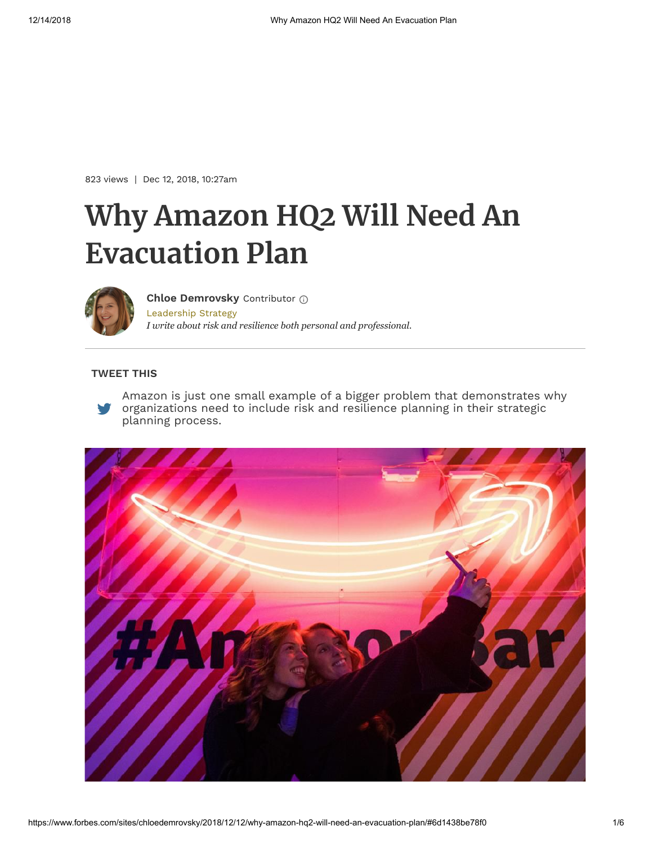823 views | Dec 12, 2018, 10:27am

## **Why Amazon HQ2 Will Need An Evacuation Plan**



[Leadership Strategy](https://www.forbes.com/leadership-strategy/) *I write about risk and resilience both personal and professional.* **[Chloe Demrovsky](https://www.forbes.com/sites/chloedemrovsky/)** Contributor

#### **TWEET THIS**

 organizations need to include risk and resilience planning in their strategic [Amazon is just one small example of a bigger problem that demonstrates why](https://twitter.com/intent/tweet?url=http%3A%2F%2Fwww.forbes.com%2Fsites%2Fchloedemrovsky%2F2018%2F12%2F12%2Fwhy-amazon-hq2-will-need-an-evacuation-plan%2F&text=%23AmazonHQ2%20demonstrates%20why%20organizations%20need%20to%20include%20%23risk%20and%20%23resilience%20planning%20in%20strategic%20planning.) planning process.

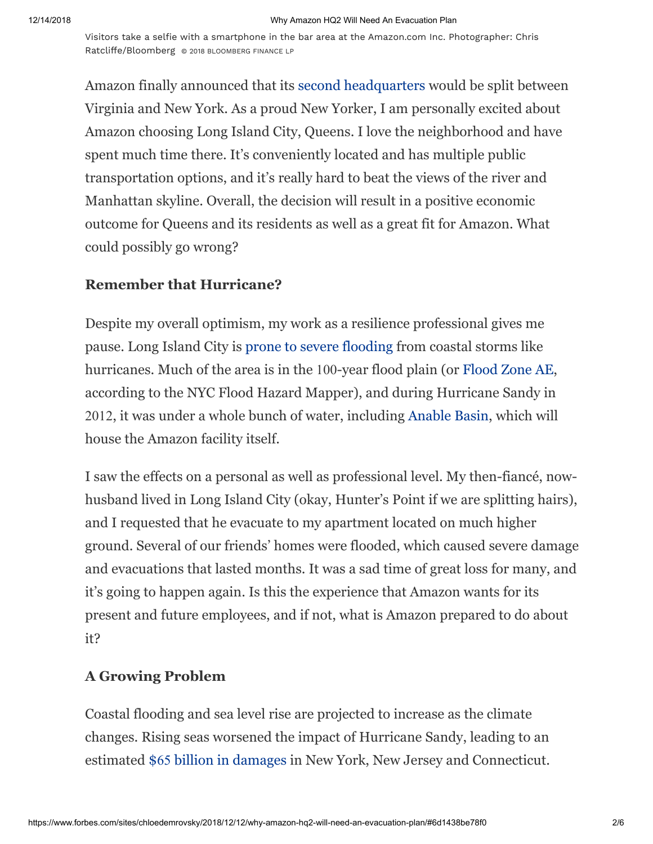#### 12/14/2018 Why Amazon HQ2 Will Need An Evacuation Plan

Visitors take a selfie with a smartphone in the bar area at the Amazon.com Inc. Photographer: Chris Ratcliffe/Bloomberg © 2018 BLOOMBERG FINANCE LP

Amazon finally announced that its [second headquarters](https://www.amazon.com/b?ie=UTF8&node=17044620011) would be split between Virginia and New York. As a proud New Yorker, I am personally excited about Amazon choosing Long Island City, Queens. I love the neighborhood and have spent much time there. It's conveniently located and has multiple public transportation options, and it's really hard to beat the views of the river and Manhattan skyline. Overall, the decision will result in a positive economic outcome for Queens and its residents as well as a great fit for Amazon. What could possibly go wrong?

### **Remember that Hurricane?**

Despite my overall optimism, my work as a resilience professional gives me pause. Long Island City is [prone to severe flooding](https://www.nydailynews.com/new-york/queens/sandy-effect-waterfront-real-estate-article-1.1203379) from coastal storms like hurricanes. Much of the area is in the 100-year flood plain (or [Flood Zone AE](http://dcp.maps.arcgis.com/apps/webappviewer/index.html?id=1c37d271fba14163bbb520517153d6d5), according to the NYC Flood Hazard Mapper), and during Hurricane Sandy in 2012, it was under a whole bunch of water, including [Anable Basin](https://ny.curbed.com/2018/11/29/18117309/amazon-hq2-long-island-city-new-york-anable-basin-photo-essay), which will house the Amazon facility itself.

I saw the effects on a personal as well as professional level. My then-fiancé, nowhusband lived in Long Island City (okay, Hunter's Point if we are splitting hairs), and I requested that he evacuate to my apartment located on much higher ground. Several of our friends' homes were flooded, which caused severe damage and evacuations that lasted months. It was a sad time of great loss for many, and it's going to happen again. Is this the experience that Amazon wants for its present and future employees, and if not, what is Amazon prepared to do about it?

### **A Growing Problem**

Coastal flooding and sea level rise are projected to increase as the climate changes. Rising seas worsened the impact of Hurricane Sandy, leading to an estimated \$65 [billion in damages](https://www.c2es.org/content/hurricanes-and-climate-change/) in New York, New Jersey and Connecticut.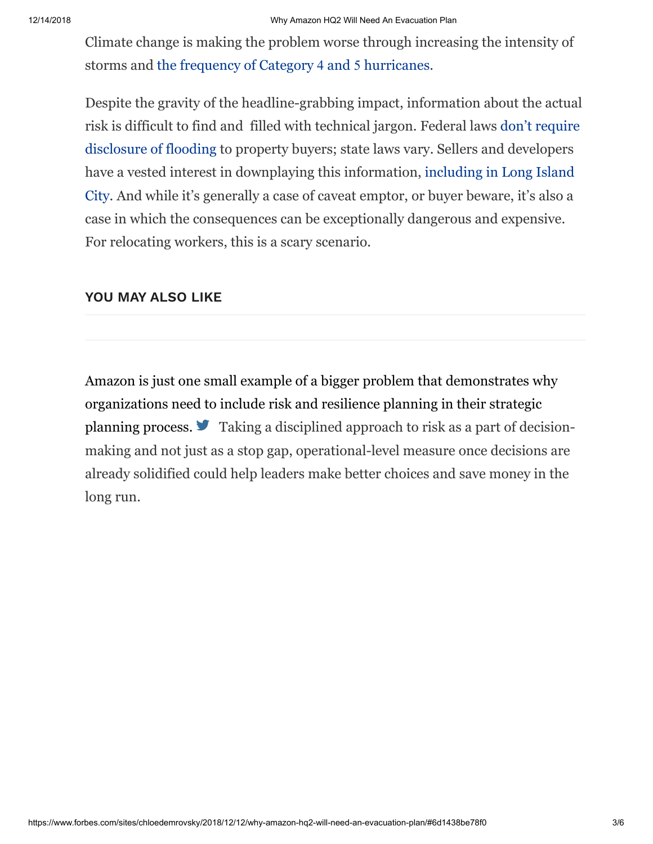Climate change is making the problem worse through increasing the intensity of storms and [the frequency of Category](https://journals.ametsoc.org/doi/abs/10.1175/JCLI-D-12-00539.1) 4 and 5 hurricanes.

Despite the gravity of the headline-grabbing impact, information about the actual [risk is difficult to find and filled with technical jargon. Federal laws don't require](https://www.realtor.com/advice/home-improvement/is-my-property-in-a-flood-zone/) disclosure of flooding to property buyers; state laws vary. Sellers and developers [have a vested interest in downplaying this information, including in Long Island](https://www.nydailynews.com/new-york/queens/sandy-effect-waterfront-real-estate-article-1.1203379) City. And while it's generally a case of caveat emptor, or buyer beware, it's also a case in which the consequences can be exceptionally dangerous and expensive. For relocating workers, this is a scary scenario.

### **YOU MAY ALSO LIKE**

[Amazon is just one small example of a bigger problem that demonstrates why](https://twitter.com/intent/tweet?url=http%3A%2F%2Fwww.forbes.com%2Fsites%2Fchloedemrovsky%2F2018%2F12%2F12%2Fwhy-amazon-hq2-will-need-an-evacuation-plan%2F&text=%23AmazonHQ2%20demonstrates%20why%20organizations%20need%20to%20include%20%23risk%20and%20%23resilience%20planning%20in%20strategic%20planning.) organizations need to include risk and resilience planning in their strategic planning process. Taking a disciplined approach to risk as a part of decisionmaking and not just as a stop gap, operational-level measure once decisions are already solidified could help leaders make better choices and save money in the long run.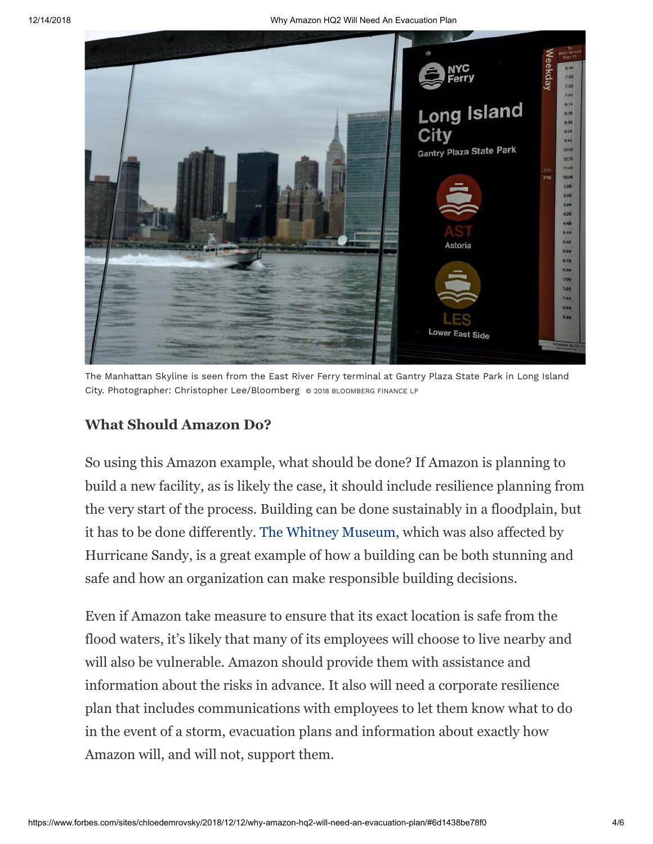12/14/2018 Why Amazon HQ2 Will Need An Evacuation Plan



The Manhattan Skyline is seen from the East River Ferry terminal at Gantry Plaza State Park in Long Island City. Photographer: Christopher Lee/Bloomberg © 2018 BLOOMBERG FINANCE LP

### **What Should Amazon Do?**

So using this Amazon example, what should be done? If Amazon is planning to build a new facility, as is likely the case, it should include resilience planning from the very start of the process. Building can be done sustainably in a floodplain, but it has to be done differently. [The Whitney Museum](https://www.theatlantic.com/entertainment/archive/2015/05/new-whitney-hurricane-sandy-climate-change/394100/), which was also affected by Hurricane Sandy, is a great example of how a building can be both stunning and safe and how an organization can make responsible building decisions.

Even if Amazon take measure to ensure that its exact location is safe from the flood waters, it's likely that many of its employees will choose to live nearby and will also be vulnerable. Amazon should provide them with assistance and information about the risks in advance. It also will need a corporate resilience plan that includes communications with employees to let them know what to do in the event of a storm, evacuation plans and information about exactly how Amazon will, and will not, support them.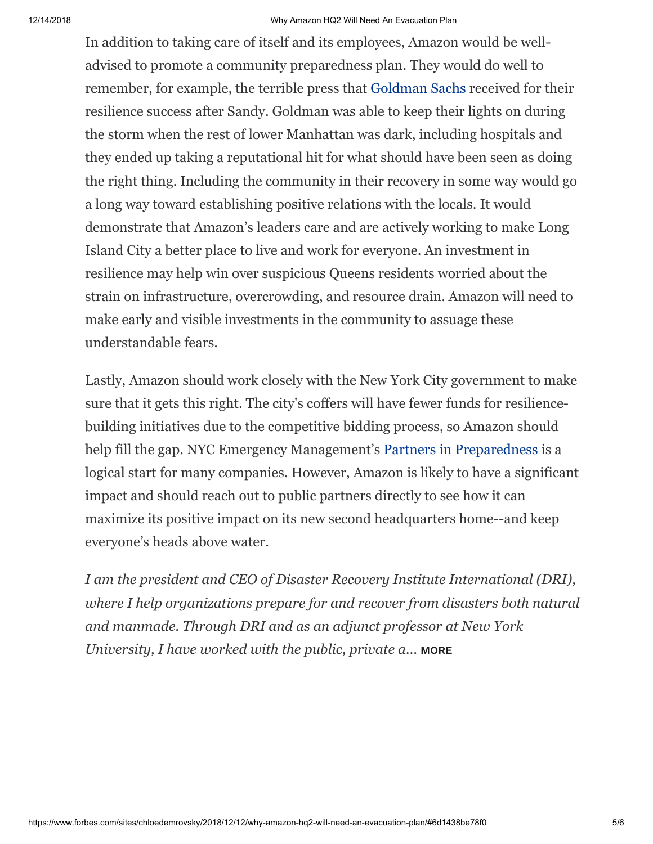In addition to taking care of itself and its employees, Amazon would be welladvised to promote a community preparedness plan. They would do well to remember, for example, the terrible press that [Goldman Sachs](http://nymag.com/intelligencer/2012/11/goldman-has-the-power.html) received for their resilience success after Sandy. Goldman was able to keep their lights on during the storm when the rest of lower Manhattan was dark, including hospitals and they ended up taking a reputational hit for what should have been seen as doing the right thing. Including the community in their recovery in some way would go a long way toward establishing positive relations with the locals. It would demonstrate that Amazon's leaders care and are actively working to make Long Island City a better place to live and work for everyone. An investment in resilience may help win over suspicious Queens residents worried about the strain on infrastructure, overcrowding, and resource drain. Amazon will need to make early and visible investments in the community to assuage these understandable fears.

Lastly, Amazon should work closely with the New York City government to make sure that it gets this right. The city's coffers will have fewer funds for resiliencebuilding initiatives due to the competitive bidding process, so Amazon should help fill the gap. NYC Emergency Management's [Partners in Preparedness](https://www1.nyc.gov/site/em/ready/partners-preparedness.page) is a logical start for many companies. However, Amazon is likely to have a significant impact and should reach out to public partners directly to see how it can maximize its positive impact on its new second headquarters home--and keep everyone's heads above water.

*I am the president and CEO of Disaster Recovery Institute International (DRI), where I help organizations prepare for and recover from disasters both natural and manmade. Through DRI and as an adjunct professor at New York University, I have worked with the public, private a...* **[MORE](https://www.forbes.com/sites/chloedemrovsky/)**